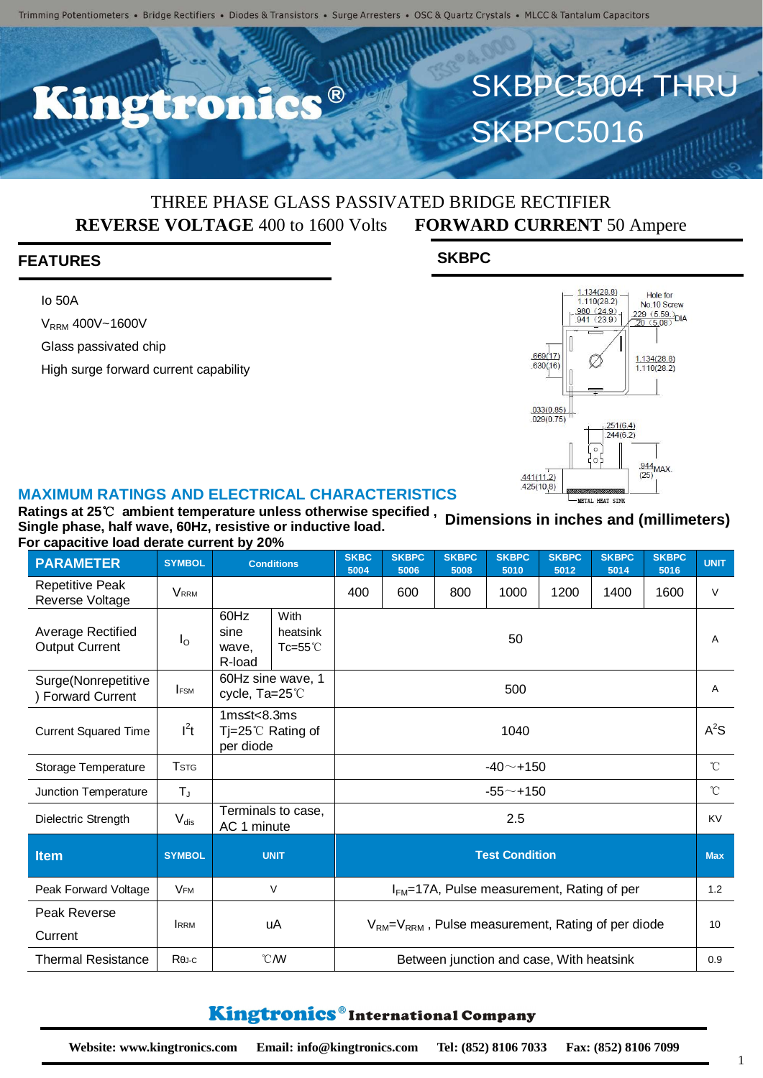R

## THREE PHASE GLASS PASSIVATED BRIDGE RECTIFIER **REVERSE VOLTAGE** 400 to 1600 Volts **FORWARD CURRENT** 50 Ampere

#### **FEATURES**

Io 50A

V<sub>RRM</sub> 400V~1600V

Glass passivated chip

High surge forward current capability





SKBPC5004 THRU

**SKBPC5016** 

#### **MAXIMUM RATINGS AND ELECTRICAL CHARACTERISTICS**

**Ratings at 25**℃ **ambient temperature unless otherwise specified , Single phase, half wave, 60Hz, resistive or inductive load. For capacitive load derate current by 20% Dimensions in inches and (millimeters)**

| <b>PARAMETER</b>                              | <b>SYMBOL</b>           | <b>Conditions</b>                                                 |  | <b>SKBC</b><br>5004                                         | <b>SKBPC</b><br>5006                     | <b>SKBPC</b><br>5008 | <b>SKBPC</b><br>5010 | <b>SKBPC</b><br>5012 | <b>SKBPC</b><br>5014 | <b>SKBPC</b><br>5016 | <b>UNIT</b>  |
|-----------------------------------------------|-------------------------|-------------------------------------------------------------------|--|-------------------------------------------------------------|------------------------------------------|----------------------|----------------------|----------------------|----------------------|----------------------|--------------|
| <b>Repetitive Peak</b><br>Reverse Voltage     | <b>VRRM</b>             |                                                                   |  | 400                                                         | 600                                      | 800                  | 1000                 | 1200                 | 1400                 | 1600                 | $\vee$       |
| Average Rectified<br><b>Output Current</b>    | $I_{\rm O}$             | 60Hz<br>With<br>sine<br>heatsink<br>Tc=55 $°C$<br>wave,<br>R-load |  | 50                                                          |                                          |                      |                      |                      |                      |                      | Α            |
| Surge(Nonrepetitive<br><b>Forward Current</b> | <b>IFSM</b>             | 60Hz sine wave, 1<br>cycle, Ta=25°C                               |  | 500                                                         |                                          |                      |                      |                      |                      |                      | A            |
| <b>Current Squared Time</b>                   | $l^2t$                  | 1 $ms \leq t < 8.3ms$<br>Tj=25 $\degree$ C Rating of<br>per diode |  | 1040                                                        |                                          |                      |                      |                      |                      |                      | $A^2S$       |
| Storage Temperature                           | <b>T</b> <sub>STG</sub> |                                                                   |  | $-40$ $-$ +150                                              |                                          |                      |                      |                      |                      |                      | $^{\circ}$ C |
| <b>Junction Temperature</b>                   | $T_{J}$                 |                                                                   |  | $-55 - + 150$                                               |                                          |                      |                      |                      |                      |                      | $^{\circ}C$  |
| Dielectric Strength                           | $V_{dis}$               | Terminals to case,<br>AC 1 minute                                 |  | 2.5                                                         |                                          |                      |                      |                      |                      |                      | KV           |
| <b>Item</b>                                   | <b>SYMBOL</b>           | <b>UNIT</b>                                                       |  | <b>Test Condition</b>                                       |                                          |                      |                      |                      |                      |                      | <b>Max</b>   |
| Peak Forward Voltage                          | <b>VFM</b>              | $\vee$                                                            |  | $IFM=17A$ , Pulse measurement, Rating of per                |                                          |                      |                      |                      |                      |                      | 1.2          |
| Peak Reverse<br>Current                       | <b>IRRM</b>             | uA                                                                |  | $V_{RM} = V_{RRM}$ , Pulse measurement, Rating of per diode |                                          |                      |                      |                      |                      |                      | 10           |
| <b>Thermal Resistance</b>                     | $R\theta$ J-C           | $\mathcal{C}$ /W                                                  |  |                                                             | Between junction and case, With heatsink |                      |                      |                      |                      |                      |              |

### Kingtronics®International Company

1